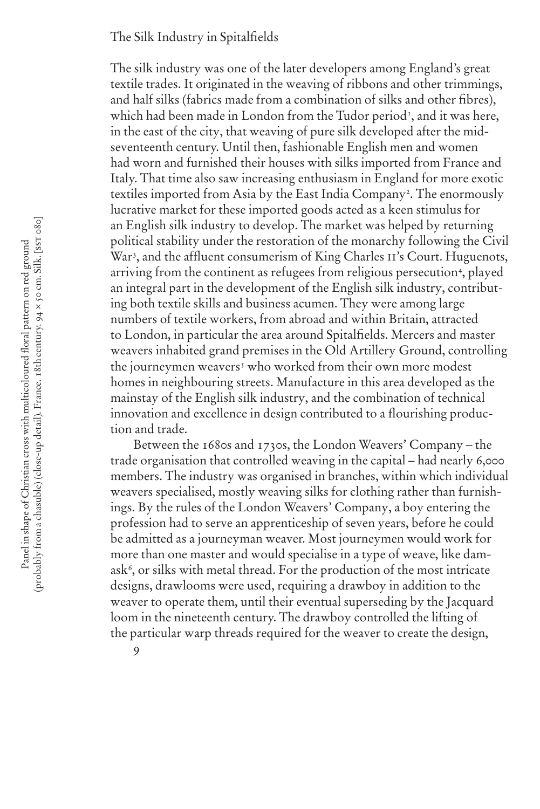## The Silk Industry in Spitalfields

The silk industry was one of the later developers among England's great textile trades. It originated in the weaving of ribbons and other trimmings, and half silks (fabrics made from a combination of silks and other fibres), which had been made in London from the Tudor period<sup>1</sup>, and it was here, in the east of the city, that weaving of pure silk developed after the midseventeenth century. Until then, fashionable English men and women had worn and furnished their houses with silks imported from France and Italy. That time also saw increasing enthusiasm in England for more exotic textiles imported from Asia by the East India Company<sup>2</sup>. The enormously lucrative market for these imported goods acted as a keen stimulus for an English silk industry to develop. The market was helped by returning political stability under the restoration of the monarchy following the Civil War<sup>3</sup>, and the affluent consumerism of King Charles II's Court. Huguenots, arriving from the continent as refugees from religious persecution<sup>4</sup>, played an integral part in the development of the English silk industry, contributing both textile skills and business acumen. They were among large numbers of textile workers, from abroad and within Britain, attracted to London, in particular the area around Spitalfields. Mercers and master weavers inhabited grand premises in the Old Artillery Ground, controlling the journeymen weavers<sup>s</sup> who worked from their own more modest homes in neighbouring streets. Manufacture in this area developed as the mainstay of the English silk industry, and the combination of technical innovation and excellence in design contributed to a flourishing production and trade.

Between the 1680s and 1730s, the London Weavers' Company – the trade organisation that controlled weaving in the capital – had nearly 6,000 members. The industry was organised in branches, within which individual weavers specialised, mostly weaving silks for clothing rather than furnishings. By the rules of the London Weavers' Company, a boy entering the profession had to serve an apprenticeship of seven years, before he could be admitted as a journeyman weaver. Most journeymen would work for more than one master and would specialise in a type of weave, like damask $\mathfrak{c},$  or silks with metal thread. For the production of the most intricate designs, drawlooms were used, requiring a drawboy in addition to the weaver to operate them, until their eventual superseding by the Jacquard loom in the nineteenth century. The drawboy controlled the lifting of the particular warp threads required for the weaver to create the design,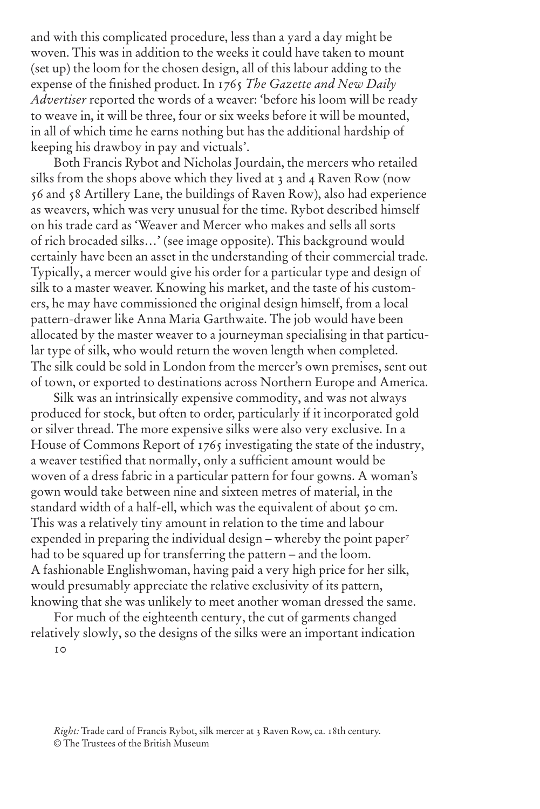and with this complicated procedure, less than a yard a day might be woven. This was in addition to the weeks it could have taken to mount (set up) the loom for the chosen design, all of this labour adding to the expense of the finished product. In 1765 *The Gazette and New Daily Advertiser* reported the words of a weaver: 'before his loom will be ready to weave in, it will be three, four or six weeks before it will be mounted, in all of which time he earns nothing but has the additional hardship of keeping his drawboy in pay and victuals'.

Both Francis Rybot and Nicholas Jourdain, the mercers who retailed silks from the shops above which they lived at 3 and 4 Raven Row (now 56 and 58 Artillery Lane, the buildings of Raven Row), also had experience as weavers, which was very unusual for the time. Rybot described himself on his trade card as 'Weaver and Mercer who makes and sells all sorts of rich brocaded silks…' (see image opposite). This background would certainly have been an asset in the understanding of their commercial trade. Typically, a mercer would give his order for a particular type and design of silk to a master weaver. Knowing his market, and the taste of his customers, he may have commissioned the original design himself, from a local pattern-drawer like Anna Maria Garthwaite. The job would have been allocated by the master weaver to a journeyman specialising in that particular type of silk, who would return the woven length when completed. The silk could be sold in London from the mercer's own premises, sent out of town, or exported to destinations across Northern Europe and America.

Silk was an intrinsically expensive commodity, and was not always produced for stock, but often to order, particularly if it incorporated gold or silver thread. The more expensive silks were also very exclusive. In a House of Commons Report of 1765 investigating the state of the industry, a weaver testified that normally, only a sufficient amount would be woven of a dress fabric in a particular pattern for four gowns. A woman's gown would take between nine and sixteen metres of material, in the standard width of a half-ell, which was the equivalent of about 50 cm. This was a relatively tiny amount in relation to the time and labour expended in preparing the individual design – whereby the point paper<sup>7</sup> had to be squared up for transferring the pattern – and the loom. A fashionable Englishwoman, having paid a very high price for her silk, would presumably appreciate the relative exclusivity of its pattern, knowing that she was unlikely to meet another woman dressed the same.

10 For much of the eighteenth century, the cut of garments changed relatively slowly, so the designs of the silks were an important indication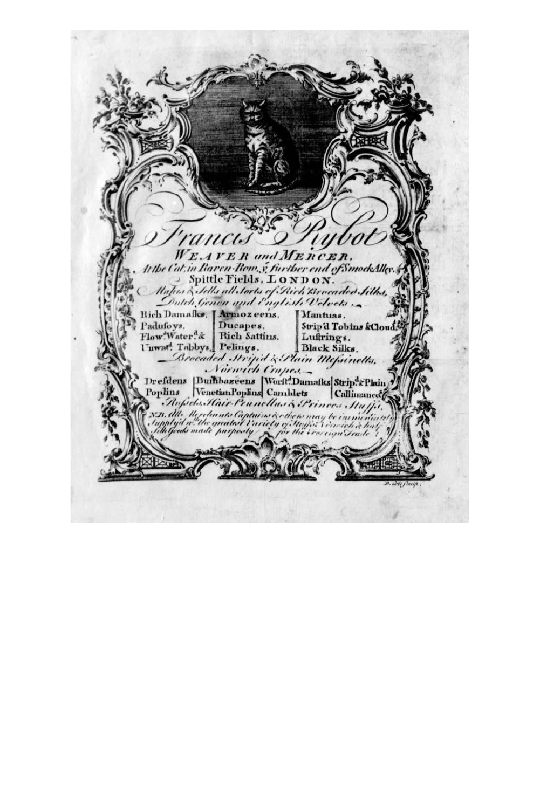$W_E$ . **AVER** and MERCER. the Cat, in Raven-Row, y further end of SmockAlley. Spittle Fields, LONDON. ahar & Sells all Sorts of Rich Brocades Silhs,<br>Dutch Genou and English Velvets Rich Damafks, [Armozeens. Mantuas. Padufoys. Ducapes. Strip'd Tobins &Cloud Flow.Water.& Rich Sattins. Luftrings. l'uwat<sup>4</sup>. Tabbys. Pelings. Black Silks. Brocaded Stripid & Plain Mefainetts. Drefdens Bumbazeens Worft.Damafks Strip.&Plain Rufiels. Hair Prunellas & Princes . Stuff ND. All. Merchants Captains & ett<br>Supplyd a the greatest Variety of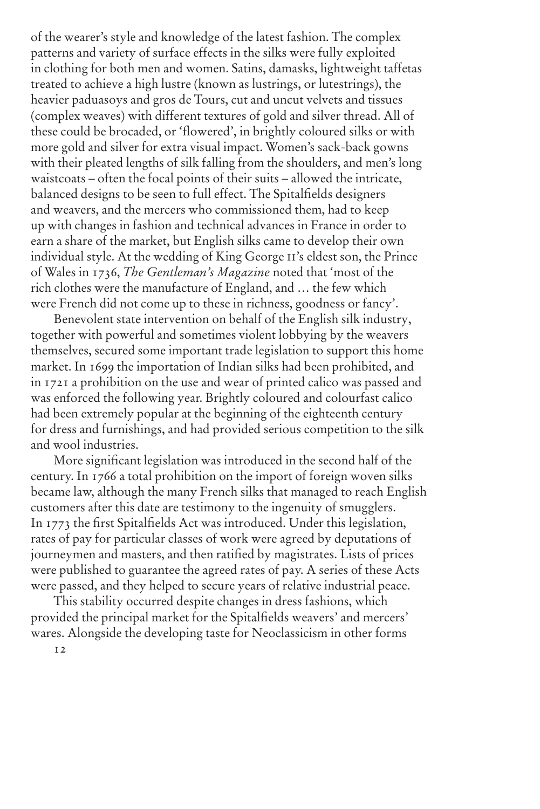of the wearer's style and knowledge of the latest fashion. The complex patterns and variety of surface effects in the silks were fully exploited in clothing for both men and women. Satins, damasks, lightweight taffetas treated to achieve a high lustre (known as lustrings, or lutestrings), the heavier paduasoys and gros de Tours, cut and uncut velvets and tissues (complex weaves) with different textures of gold and silver thread. All of these could be brocaded, or 'flowered', in brightly coloured silks or with more gold and silver for extra visual impact. Women's sack-back gowns with their pleated lengths of silk falling from the shoulders, and men's long waistcoats – often the focal points of their suits – allowed the intricate, balanced designs to be seen to full effect. The Spitalfields designers and weavers, and the mercers who commissioned them, had to keep up with changes in fashion and technical advances in France in order to earn a share of the market, but English silks came to develop their own individual style. At the wedding of King George ii's eldest son, the Prince of Wales in 1736, *The Gentleman's Magazine* noted that 'most of the rich clothes were the manufacture of England, and … the few which were French did not come up to these in richness, goodness or fancy'.

Benevolent state intervention on behalf of the English silk industry, together with powerful and sometimes violent lobbying by the weavers themselves, secured some important trade legislation to support this home market. In 1699 the importation of Indian silks had been prohibited, and in 1721 a prohibition on the use and wear of printed calico was passed and was enforced the following year. Brightly coloured and colourfast calico had been extremely popular at the beginning of the eighteenth century for dress and furnishings, and had provided serious competition to the silk and wool industries.

More significant legislation was introduced in the second half of the century. In 1766 a total prohibition on the import of foreign woven silks became law, although the many French silks that managed to reach English customers after this date are testimony to the ingenuity of smugglers. In 1773 the first Spitalfields Act was introduced. Under this legislation, rates of pay for particular classes of work were agreed by deputations of journeymen and masters, and then ratified by magistrates. Lists of prices were published to guarantee the agreed rates of pay. A series of these Acts were passed, and they helped to secure years of relative industrial peace.

This stability occurred despite changes in dress fashions, which provided the principal market for the Spitalfields weavers' and mercers' wares. Alongside the developing taste for Neoclassicism in other forms

12